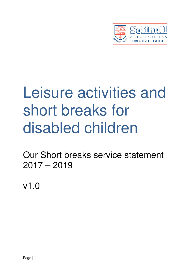

# Leisure activities and short breaks for disabled children

Our Short breaks service statement  $2017 - 2019$ 

v1.0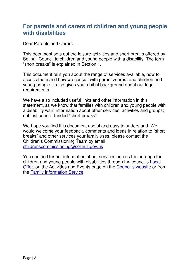## **For parents and carers of children and young people with disabilities**

Dear Parents and Carers

This document sets out the leisure activities and short breaks offered by Solihull Council to children and young people with a disability. The term "short breaks" is explained in Section 1.

This document tells you about the range of services available, how to access them and how we consult with parents/carers and children and young people. It also gives you a bit of background about our legal requirements.

We have also included useful links and other information in this statement, as we know that families with children and young people with a disability want information about other services, activities and groups; not just council-funded "short breaks".

We hope you find this document useful and easy to understand. We would welcome your feedback, comments and ideas in relation to "short breaks" and other services your family uses, please contact the Children's Commissioning Team by email childrenscommissioning@solihull.gov.uk

You can find further information about services across the borough for children and young people with disabilities through the council's Local Offer, on the Activities and Events page on the Council's website or from the Family Information Service.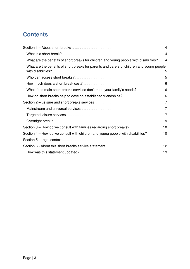# **Contents**

| What are the benefits of short breaks for children and young people with disabilities?  4 |  |
|-------------------------------------------------------------------------------------------|--|
| What are the benefits of short breaks for parents and carers of children and young people |  |
|                                                                                           |  |
|                                                                                           |  |
|                                                                                           |  |
|                                                                                           |  |
|                                                                                           |  |
|                                                                                           |  |
|                                                                                           |  |
|                                                                                           |  |
| Section 3 – How do we consult with families regarding short breaks? 10                    |  |
| Section 4 – How do we consult with children and young people with disabilities? 10        |  |
|                                                                                           |  |
|                                                                                           |  |
|                                                                                           |  |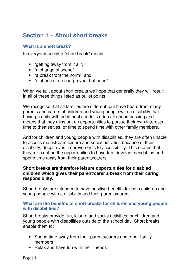# **Section 1 – About short breaks**

## **What is a short break?**

In everyday-speak a "short break" means:

- "getting away from it all",
- "a change of scene",
- "a break from the norm", and
- "a chance to recharge your batteries".

When we talk about short breaks we hope that generally they will result in all of these things listed as bullet points.

We recognise that all families are different, but have heard from many parents and carers of children and young people with a disability that having a child with additional needs is often all-encompassing and means that they miss out on opportunities to pursue their own interests, time to themselves, or time to spend time with other family members.

And for children and young people with disabilities, they are often unable to access mainstream leisure and social activities because of their disability, despite vast improvements to accessibility. This means that they miss out on the opportunities to have fun, develop friendships and spend time away from their parents/carers.

### **Short breaks are therefore leisure opportunities for disabled children which gives their parent/carer a break from their caring responsibility.**

Short breaks are intended to have positive benefits for both children and young people with a disability and their parents/carers.

### **What are the benefits of short breaks for children and young people with disabilities?**

Short breaks provide fun, leisure and social activities for children and young people with disabilities outside of the school day. Short breaks enable them to:

- Spend time away from their parents/carers and other family members
- Relax and have fun with their friends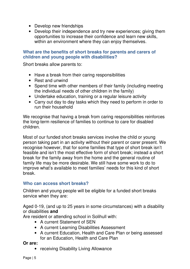- Develop new friendships
- Develop their independence and try new experiences; giving them opportunities to increase their confidence and learn new skills, within an environment where they can enjoy themselves.

## **What are the benefits of short breaks for parents and carers of children and young people with disabilities?**

Short breaks allow parents to:

- Have a break from their caring responsibilities
- Rest and unwind
- Spend time with other members of their family (including meeting the individual needs of other children in the family)
- Undertake education, training or a regular leisure activity
- Carry out day to day tasks which they need to perform in order to run their household

We recognise that having a break from caring responsibilities reinforces the long-term resilience of families to continue to care for disabled children.

Most of our funded short breaks services involve the child or young person taking part in an activity without their parent or carer present. We recognise however, that for some families that type of short break isn't feasible and isn't the most effective form of short break; instead a short break for the family away from the home and the general routine of family life may be more desirable. We still have some work to do to improve what's available to meet families' needs for this kind of short break.

## **Who can access short breaks?**

Children and young people will be eligible for a funded short breaks service when they are:

Aged 0-19, (and up to 25 years in some circumstances) with a disability or disabilities **and** 

Are resident or attending school in Solihull with:

- A current Statement of SEN
- A current Learning Disabilities Assessment
- A current Education, Health and Care Plan or being assessed for an Education, Health and Care Plan

**Or are:** 

• receiving Disability Living Allowance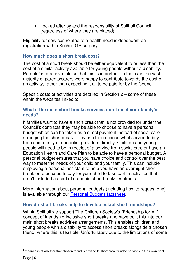• Looked after by and the responsibility of Solihull Council (regardless of where they are placed)

Eligibility for services related to a health need is dependent on registration with a Solihull GP surgery.

## **How much does a short break cost?**

The cost of a short break should be either equivalent to or less than the cost of a similar activity available for young people without a disability. Parents/carers have told us that this is important. In the main the vast majority of parents/carers were happy to contribute towards the cost of an activity, rather than expecting it all to be paid for by the Council.

Specific costs of activities are detailed in Section 2 – some of these within the websites linked to

## **What if the main short breaks services don't meet your family's needs?**

If families want to have a short break that is not provided for under the Council's contracts they may be able to choose to have a personal budget which can be taken as a direct payment instead of social care arranging the short break. They can then choose what service to buy from community or specialist providers directly. Children and young people will need to be in receipt of a service from social care or have an Education Health and Care Plan to be able to have a personal budget. A personal budget ensures that you have choice and control over the best way to meet the needs of your child and your family. This can include employing a personal assistant to help you have an overnight short break or to be used to pay for your child to take part in activities that aren't included as part of our main short breaks contracts.

More information about personal budgets (including how to request one) is available through our Personal Budgets factsheet.

## **How do short breaks help to develop established friendships?**

Within Solihull we support The Children Society's "Friendship for All" concept of friendship-inclusive short breaks and have built this into our main short breaks activities arrangements. This enables children and young people with a disability to access short breaks alongside a chosen friend<sup>1</sup> where this is feasible. Unfortunately due to the limitations of some

 $\overline{a}$ 

 $^{\rm 1}$  regardless of whether that chosen friend is entitled to short break funded services in their own right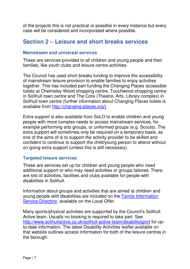of the projects this is not practical or possible in every instance but every case will be considered and incorporated where possible.

## **Section 2 – Leisure and short breaks services**

#### **Mainstream and universal services**

These are services provided to all children and young people and their families, like youth clubs and leisure centre activities.

The Council has used short breaks funding to improve the accessibility of mainstream leisure provision to enable families to enjoy activities together. This has included part-funding the Changing Places accessible toilets at Chelmsley Wood shopping centre, Touchwood shopping centre in Solihull town centre and The Core (Theatre, Arts, Library complex) in Solihull town centre (further information about Changing Places toilets is available from http://changing-places.org/)

Extra support is also available from SoLO to enable children and young people with more complex needs to access mainstream services, for example performing arts groups, or uniformed groups (e.g. Scouts). The extra support will sometimes only be required on a temporary basis, as one of the aims of is to support the activity provider to be skilled and confident to continue to support the child/young person to attend without on-going extra support (unless this is still necessary).

### **Targeted leisure services**

These are services set up for children and young people who need additional support or who may need activities or groups tailored. There are lots of activities, facilities and clubs available for people with disabilities in Solihull.

Information about groups and activities that are aimed at children and young people with disabilities are included on the Family Information Service Directory, available on the Local Offer.

Many sports/physical activities are supported by the Council's Solihull Active team. Usually no booking is required to take part. See http://www.solihullactive.co.uk/solihull-active-team/disabilitysport for upto-date information. The latest Disability Activities leaflet available on that website outlines access information for both of the leisure centres in the borough.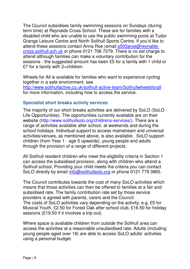The Council subsidises family swimming sessions on Sundays (during term time) at Reynalds Cross School. These are for families with a disabled child who are unable to use the public swimming pools at Tudor Grange Leisure Centre and North Solihull Sports Centre. If you'd like to attend these sessions contact Anna Roe (email s503aroe@reynaldscross.solihull.sch.uk or phone 0121 706 7279. There is no set charge to attend although families can make a voluntary contribution for the sessions - the suggested amount has been £5 for a family with 1 child or £7 for a family with 2+children.

Wheels for All is available for families who want to experience cycling together in a safe environment, see http://www.solihullactive.co.uk/solihull-active-team/Solihullwheelsforall for more information, including how to access the service.

## **Specialist short breaks activity services**

The majority of our short breaks activities are delivered by SoLO (SoLO Life Opportunities). The opportunities currently available are on their website (http://www.solihullsolo.org/childrens-services/). There are a range of activities available after school, at weekends and during the school holidays. Individual support to access mainstream and universal activities/venues, as mentioned above, is also available. SoLO support children (from Year 1 - age 5 upwards), young people and adults through the provision of a range of different projects.

All Solihull resident children who meet the eligibility criteria in Section 1 can access the subsidised provision, along with children who attend a Solihull school. Providing your child meets the criteria you can contact SoLO directly by email info@solihullsolo.org or phone 0121 779 3865.

The Council contributes towards the cost of many SoLO activities which means that those activities can then be offered to families at a fair and subsidised rate. The family contribution rate set by those service providers is agreed with parents, carers and the Council. The costs of SoLO activities vary depending on the activity, e.g. £5 for Musical Youth, £2.50 for Forest Oak after school club, £16.50 for holiday sessions (£19.50 if it involves a trip out).

Where space is available children from outside the Solihull area can access the activities at a reasonable unsubsidised rate. Adults (including young people aged over 18) are able to access SoLO adults' activities using a personal budget.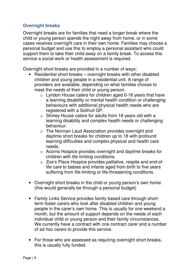## **Overnight breaks**

Overnight breaks are for families that need a longer break where the child or young person spends the night away from home, or in some cases receives overnight care in their own home. Families may choose a personal budget and use this to employ a personal assistant who could support them to take their child away on a family break. To access this service a social work or health assessment is required.

Overnight short breaks are provided in a number of ways:

- Residential short breaks overnight breaks with other disabled children and young people in a residential unit. A range of providers are available, depending on what families choose to meet the needs of their child or young person.
	- o Lyndon House caters for children aged 0-18 years that have a learning disability or mental health condition or challenging behaviours with additional physical health needs who are registered with a Solihull GP.
	- o Shirley House caters for adults from 18 years old with a learning disability and complex health needs or challenging behaviour.
	- o The Norman Laud Association provides overnight and daytime short breaks for children up to 18 with profound learning difficulties and complex physical and health care needs.
	- o Acorns Hospice provides overnight and daytime breaks for children with life limiting conditions.
	- o Zoe's Place Hospice provides palliative, respite and end-oflife care to babies and infants aged from birth to five years suffering from life-limiting or life-threatening conditions.
- Overnight short breaks in the child or young person's own home (this would generally be through a personal budget)
- Family Links Service provides family based care through shortterm foster carers who look after disabled children and young people in the carer's own home. This is usually for one weekend a month, but the amount of support depends on the needs of each individual child or young person and their family circumstances. We currently have a contract with one contract carer and a number of ad hoc carers to provide this service.
- For those who are assessed as requiring overnight short breaks, this is usually fully funded.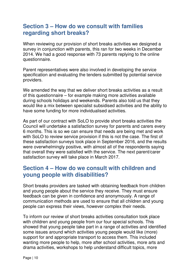## **Section 3 – How do we consult with families regarding short breaks?**

When reviewing our provision of short breaks activities we designed a survey in conjunction with parents, this ran for two weeks in December 2014. We had a good response with 73 parents replying to the online questionnaire.

Parent representatives were also involved in developing the service specification and evaluating the tenders submitted by potential service providers.

We amended the way that we deliver short breaks activities as a result of this questionnaire – for example making more activities available during schools holidays and weekends. Parents also told us that they would like a mix between specialist subsidised activities and the ability to have some funding for more individualised activities.

As part of our contract with SoLO to provide short breaks activities the Council will undertake a satisfaction survey for parents and carers every 6 months. This is so we can ensure that needs are being met and work with SoLO to review service provision if this is not the case. The first of these satisfaction surveys took place in September 2016, and the results were overwhelmingly positive, with almost all of the respondents saying that overall they were satisfied with the service. The next parent/carer satisfaction survey will take place in March 2017.

## **Section 4 – How do we consult with children and young people with disabilities?**

Short breaks providers are tasked with obtaining feedback from children and young people about the service they receive. They must ensure feedback can be given in confidence and anonymously. A range of communication methods are used to ensure that all children and young people can express their views, however complex their needs.

To inform our review of short breaks activities consultation took place with children and young people from our four special schools. This showed that young people take part in a range of activities and identified some issues around which activities young people would like (more) support for and appropriate transport to access them. This included wanting more people to help, more after school activities, more arts and drama activities, workshops to help understand difficult topics, more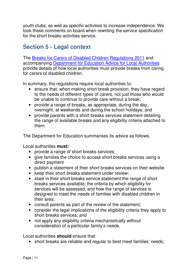youth clubs; as well as specific activities to increase independence. We took these comments on board when rewriting the service specification for the short breaks activities service.

## **Section 5 - Legal context**

The Breaks for Carers of Disabled Children Regulations 2011 and accompanying Department for Education Advice for Local Authorities provide details of how local authorities must provide breaks from caring for carers of disabled children.

In summary, the regulations require local authorities to:

- ensure that, when making short break provision, they have regard to the needs of different types of carers, not just those who would be unable to continue to provide care without a break;
- provide a range of breaks, as appropriate, during the day, overnight, at weekends and during the school holidays; and
- provide parents with a short breaks services statement detailing the range of available breaks and any eligibility criteria attached to them.

The Department for Education summarises its advice as follows.

Local authorities **must:** 

- provide a range of short breaks services;
- give families the choice to access short breaks services using a direct payment
- publish a statement of their short breaks services on their website
- keep their short breaks statement under review;
- state in their short breaks service statement the range of short breaks services available, the criteria by which eligibility for services will be assessed, and how the range of services is designed to meet the needs of families with disabled children in their area;
- consult parents as part of the review of the statement;
- consider the legal implications of the eligibility criteria they apply to short breaks services; and
- not apply any eligibility criteria mechanistically without consideration of a particular family's needs.

Local authorities **should** ensure that:

• short breaks are reliable and regular to best meet families' needs;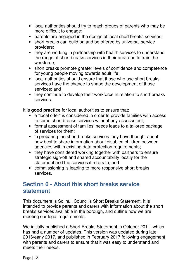- local authorities should try to reach groups of parents who may be more difficult to engage;
- parents are engaged in the design of local short breaks services;
- short breaks can build on and be offered by universal service providers;
- they are working in partnership with health services to understand the range of short breaks services in their area and to train the workforce;
- short breaks promote greater levels of confidence and competence for young people moving towards adult life;
- local authorities should ensure that those who use short breaks services have the chance to shape the development of those services; and
- they continue to develop their workforce in relation to short breaks services.

It is **good practice** for local authorities to ensure that:

- a "local offer" is considered in order to provide families with access to some short breaks services without any assessment;
- formal assessment of families' needs leads to a tailored package of services for them;
- in preparing the short breaks services they have thought about how best to share information about disabled children between agencies within existing data protection requirements;
- they have considered working together with partners to ensure strategic sign-off and shared accountability locally for the statement and the services it refers to; and
- commissioning is leading to more responsive short breaks services.

## **Section 6 - About this short breaks service statement**

This document is Solihull Council's Short Breaks Statement. It is intended to provide parents and carers with information about the short breaks services available in the borough, and outline how we are meeting our legal requirements.

We initially published a Short Breaks Statement in October 2011, which has had a number of updates. This version was updated during late-2016/early 2017, and published in February 2017 following engagement with parents and carers to ensure that it was easy to understand and meets their needs.